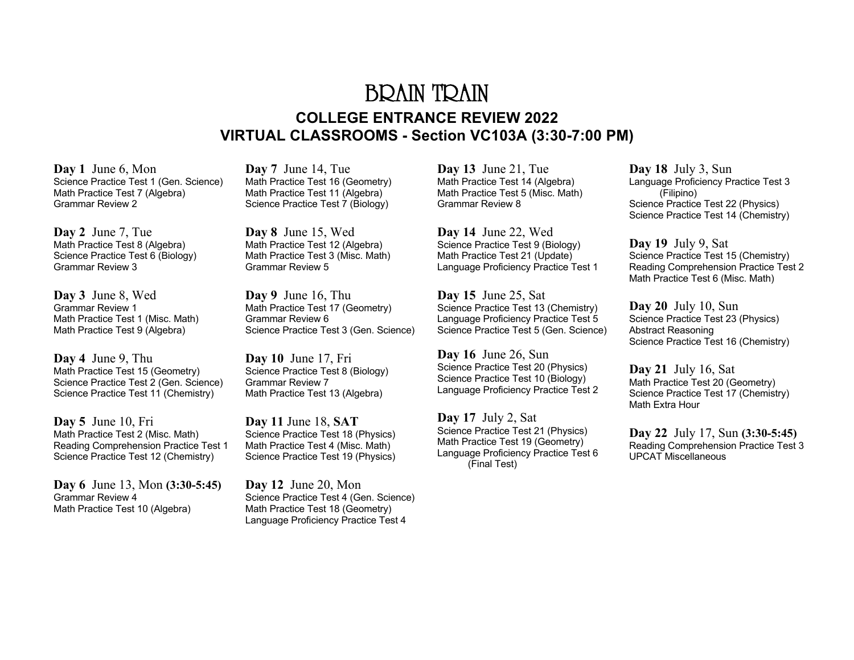## BRAIN TRAIN **COLLEGE ENTRANCE REVIEW 2022 VIRTUAL CLASSROOMS - Section VC103A (3:30-7:00 PM)**

**Day 1** June 6, Mon Science Practice Test 1 (Gen. Science) Math Practice Test 7 (Algebra) Grammar Review 2

**Day 2** June 7, Tue Math Practice Test 8 (Algebra) Science Practice Test 6 (Biology) Grammar Review 3

**Day 3** June 8, Wed Grammar Review 1 Math Practice Test 1 (Misc. Math) Math Practice Test 9 (Algebra)

**Day 4** June 9, Thu Math Practice Test 15 (Geometry) Science Practice Test 2 (Gen. Science) Science Practice Test 11 (Chemistry)

**Day 5** June 10, Fri Math Practice Test 2 (Misc. Math) Reading Comprehension Practice Test 1 Science Practice Test 12 (Chemistry)

**Day 6** June 13, Mon **(3:30-5:45)** Grammar Review 4 Math Practice Test 10 (Algebra)

**Day 7** June 14, Tue Math Practice Test 16 (Geometry) Math Practice Test 11 (Algebra) Science Practice Test 7 (Biology)

**Day 8** June 15, Wed Math Practice Test 12 (Algebra) Math Practice Test 3 (Misc. Math) Grammar Review 5

**Day 9** June 16, Thu Math Practice Test 17 (Geometry) Grammar Review 6 Science Practice Test 3 (Gen. Science)

**Day 10** June 17, Fri Science Practice Test 8 (Biology) Grammar Review 7 Math Practice Test 13 (Algebra)

**Day 11** June 18, **SAT**  Science Practice Test 18 (Physics) Math Practice Test 4 (Misc. Math) Science Practice Test 19 (Physics)

**Day 12** June 20, Mon Science Practice Test 4 (Gen. Science) Math Practice Test 18 (Geometry) Language Proficiency Practice Test 4

**Day 13** June 21, Tue Math Practice Test 14 (Algebra) Math Practice Test 5 (Misc. Math) Grammar Review 8

**Day 14** June 22, Wed Science Practice Test 9 (Biology) Math Practice Test 21 (Update) Language Proficiency Practice Test 1

**Day 15** June 25, Sat Science Practice Test 13 (Chemistry) Language Proficiency Practice Test 5 Science Practice Test 5 (Gen. Science)

**Day 16** June 26, Sun Science Practice Test 20 (Physics) Science Practice Test 10 (Biology) Language Proficiency Practice Test 2

**Day 17** July 2, Sat Science Practice Test 21 (Physics) Math Practice Test 19 (Geometry) Language Proficiency Practice Test 6 (Final Test)

**Day 18** July 3, Sun Language Proficiency Practice Test 3 (Filipino) Science Practice Test 22 (Physics) Science Practice Test 14 (Chemistry)

**Day 19** July 9, Sat Science Practice Test 15 (Chemistry) Reading Comprehension Practice Test 2 Math Practice Test 6 (Misc. Math)

**Day 20** July 10, Sun Science Practice Test 23 (Physics) Abstract Reasoning Science Practice Test 16 (Chemistry)

**Day 21** July 16, Sat Math Practice Test 20 (Geometry) Science Practice Test 17 (Chemistry) Math Extra Hour

**Day 22** July 17, Sun **(3:30-5:45)** Reading Comprehension Practice Test 3 UPCAT Miscellaneous